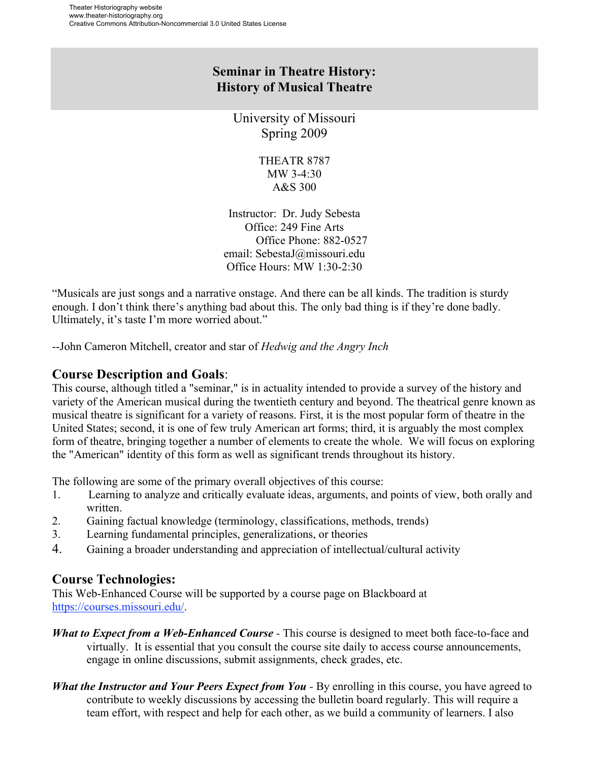# **Seminar in Theatre History: History of Musical Theatre**

University of Missouri Spring 2009

> THEATR 8787 MW 3-4:30 A&S 300

Instructor: Dr. Judy Sebesta Office: 249 Fine Arts Office Phone: 882-0527 email: SebestaJ@missouri.edu Office Hours: MW 1:30-2:30

"Musicals are just songs and a narrative onstage. And there can be all kinds. The tradition is sturdy enough. I don't think there's anything bad about this. The only bad thing is if they're done badly. Ultimately, it's taste I'm more worried about."

--John Cameron Mitchell, creator and star of *Hedwig and the Angry Inch*

# **Course Description and Goals**:

This course, although titled a "seminar," is in actuality intended to provide a survey of the history and variety of the American musical during the twentieth century and beyond. The theatrical genre known as musical theatre is significant for a variety of reasons. First, it is the most popular form of theatre in the United States; second, it is one of few truly American art forms; third, it is arguably the most complex form of theatre, bringing together a number of elements to create the whole. We will focus on exploring the "American" identity of this form as well as significant trends throughout its history.

The following are some of the primary overall objectives of this course:

- 1. Learning to analyze and critically evaluate ideas, arguments, and points of view, both orally and written.
- 2. Gaining factual knowledge (terminology, classifications, methods, trends)
- 3. Learning fundamental principles, generalizations, or theories
- 4. Gaining a broader understanding and appreciation of intellectual/cultural activity

## **Course Technologies:**

This Web-Enhanced Course will be supported by a course page on Blackboard at https://courses.missouri.edu/.

- *What to Expect from a Web-Enhanced Course -* This course is designed to meet both face-to-face and virtually. It is essential that you consult the course site daily to access course announcements, engage in online discussions, submit assignments, check grades, etc.
- *What the Instructor and Your Peers Expect from You -* By enrolling in this course, you have agreed to contribute to weekly discussions by accessing the bulletin board regularly. This will require a team effort, with respect and help for each other, as we build a community of learners. I also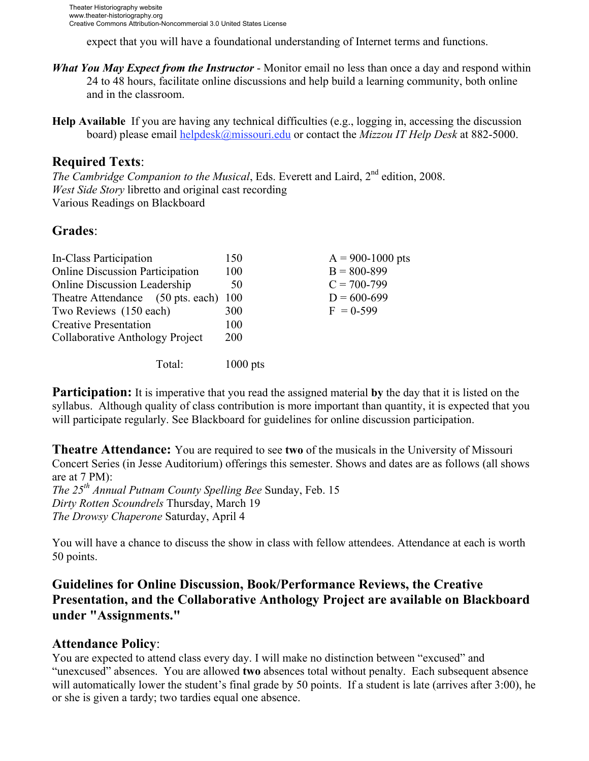expect that you will have a foundational understanding of Internet terms and functions.

- *What You May Expect from the Instructor*  Monitor email no less than once a day and respond within 24 to 48 hours, facilitate online discussions and help build a learning community, both online and in the classroom.
- **Help Available** If you are having any technical difficulties (e.g., logging in, accessing the discussion board) please email helpdesk@missouri.edu or contact the *Mizzou IT Help Desk* at 882-5000.

## **Required Texts**:

*The Cambridge Companion to the Musical*, Eds. Everett and Laird, 2<sup>nd</sup> edition, 2008. *West Side Story* libretto and original cast recording Various Readings on Blackboard

## **Grades**:

| In-Class Participation                 | 150        | $A = 900 - 1000$ pts |
|----------------------------------------|------------|----------------------|
| <b>Online Discussion Participation</b> | 100        | $B = 800 - 899$      |
| <b>Online Discussion Leadership</b>    | 50         | $C = 700 - 799$      |
| Theatre Attendance (50 pts. each) 100  |            | $D = 600 - 699$      |
| Two Reviews (150 each)                 | 300        | $F = 0.599$          |
| <b>Creative Presentation</b>           | 100        |                      |
| Collaborative Anthology Project        | <b>200</b> |                      |
| Total:                                 | $1000$ pts |                      |

**Participation:** It is imperative that you read the assigned material **by** the day that it is listed on the syllabus. Although quality of class contribution is more important than quantity, it is expected that you will participate regularly. See Blackboard for guidelines for online discussion participation.

**Theatre Attendance:** You are required to see **two** of the musicals in the University of Missouri Concert Series (in Jesse Auditorium) offerings this semester. Shows and dates are as follows (all shows are at 7 PM): *The 25th Annual Putnam County Spelling Bee* Sunday, Feb. 15 *Dirty Rotten Scoundrels* Thursday, March 19 *The Drowsy Chaperone* Saturday, April 4

You will have a chance to discuss the show in class with fellow attendees. Attendance at each is worth 50 points.

# **Guidelines for Online Discussion, Book/Performance Reviews, the Creative Presentation, and the Collaborative Anthology Project are available on Blackboard under "Assignments."**

## **Attendance Policy**:

You are expected to attend class every day. I will make no distinction between "excused" and "unexcused" absences. You are allowed **two** absences total without penalty. Each subsequent absence will automatically lower the student's final grade by 50 points. If a student is late (arrives after 3:00), he or she is given a tardy; two tardies equal one absence.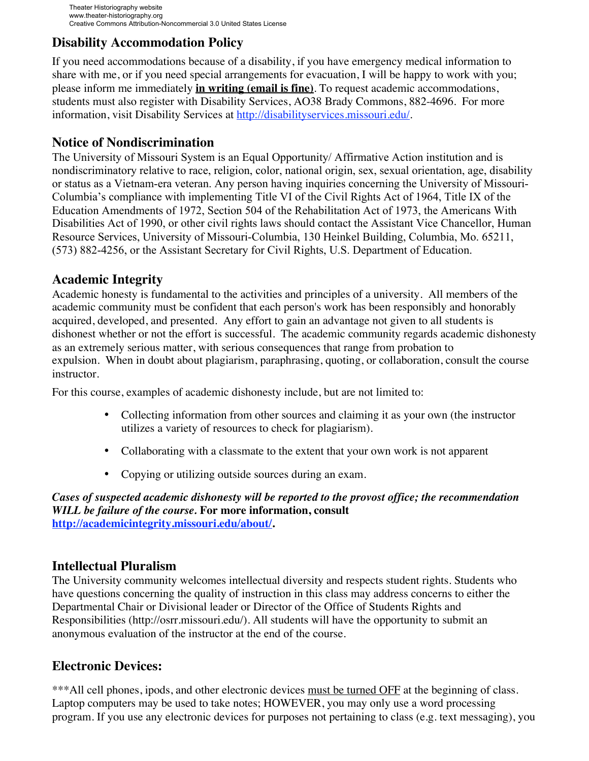# **Disability Accommodation Policy**

If you need accommodations because of a disability, if you have emergency medical information to share with me, or if you need special arrangements for evacuation, I will be happy to work with you; please inform me immediately **in writing (email is fine)**. To request academic accommodations, students must also register with Disability Services, AO38 Brady Commons, 882-4696. For more information, visit Disability Services at http://disabilityservices.missouri.edu/.

## **Notice of Nondiscrimination**

The University of Missouri System is an Equal Opportunity/ Affirmative Action institution and is nondiscriminatory relative to race, religion, color, national origin, sex, sexual orientation, age, disability or status as a Vietnam-era veteran. Any person having inquiries concerning the University of Missouri-Columbia's compliance with implementing Title VI of the Civil Rights Act of 1964, Title IX of the Education Amendments of 1972, Section 504 of the Rehabilitation Act of 1973, the Americans With Disabilities Act of 1990, or other civil rights laws should contact the Assistant Vice Chancellor, Human Resource Services, University of Missouri-Columbia, 130 Heinkel Building, Columbia, Mo. 65211, (573) 882-4256, or the Assistant Secretary for Civil Rights, U.S. Department of Education.

## **Academic Integrity**

Academic honesty is fundamental to the activities and principles of a university. All members of the academic community must be confident that each person's work has been responsibly and honorably acquired, developed, and presented. Any effort to gain an advantage not given to all students is dishonest whether or not the effort is successful. The academic community regards academic dishonesty as an extremely serious matter, with serious consequences that range from probation to expulsion. When in doubt about plagiarism, paraphrasing, quoting, or collaboration, consult the course instructor.

For this course, examples of academic dishonesty include, but are not limited to:

- Collecting information from other sources and claiming it as your own (the instructor utilizes a variety of resources to check for plagiarism).
- Collaborating with a classmate to the extent that your own work is not apparent
- Copying or utilizing outside sources during an exam.

*Cases of suspected academic dishonesty will be reported to the provost office; the recommendation WILL be failure of the course.* **For more information, consult http://academicintegrity.missouri.edu/about/.**

## **Intellectual Pluralism**

The University community welcomes intellectual diversity and respects student rights. Students who have questions concerning the quality of instruction in this class may address concerns to either the Departmental Chair or Divisional leader or Director of the Office of Students Rights and Responsibilities (http://osrr.missouri.edu/). All students will have the opportunity to submit an anonymous evaluation of the instructor at the end of the course.

## **Electronic Devices:**

\*\*\*All cell phones, ipods, and other electronic devices must be turned OFF at the beginning of class. Laptop computers may be used to take notes; HOWEVER, you may only use a word processing program. If you use any electronic devices for purposes not pertaining to class (e.g. text messaging), you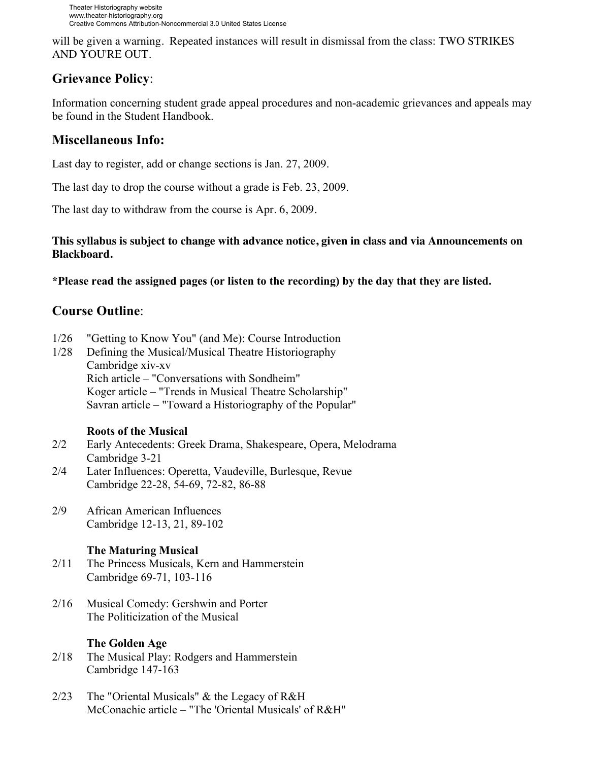will be given a warning. Repeated instances will result in dismissal from the class: TWO STRIKES AND YOU'RE OUT.

# **Grievance Policy**:

Information concerning student grade appeal procedures and non-academic grievances and appeals may be found in the Student Handbook.

# **Miscellaneous Info:**

Last day to register, add or change sections is Jan. 27, 2009.

The last day to drop the course without a grade is Feb. 23, 2009.

The last day to withdraw from the course is Apr. 6, 2009.

### **This syllabus is subject to change with advance notice, given in class and via Announcements on Blackboard.**

**\*Please read the assigned pages (or listen to the recording) by the day that they are listed.** 

# **Course Outline**:

- 1/26 "Getting to Know You" (and Me): Course Introduction
- 1/28 Defining the Musical/Musical Theatre Historiography Cambridge xiv-xv Rich article – "Conversations with Sondheim" Koger article – "Trends in Musical Theatre Scholarship" Savran article – "Toward a Historiography of the Popular"

#### **Roots of the Musical**

- 2/2 Early Antecedents: Greek Drama, Shakespeare, Opera, Melodrama Cambridge 3-21
- 2/4 Later Influences: Operetta, Vaudeville, Burlesque, Revue Cambridge 22-28, 54-69, 72-82, 86-88
- 2/9 African American Influences Cambridge 12-13, 21, 89-102

## **The Maturing Musical**

- 2/11 The Princess Musicals, Kern and Hammerstein Cambridge 69-71, 103-116
- 2/16 Musical Comedy: Gershwin and Porter The Politicization of the Musical

## **The Golden Age**

- 2/18 The Musical Play: Rodgers and Hammerstein Cambridge 147-163
- 2/23 The "Oriental Musicals" & the Legacy of R&H McConachie article – "The 'Oriental Musicals' of R&H"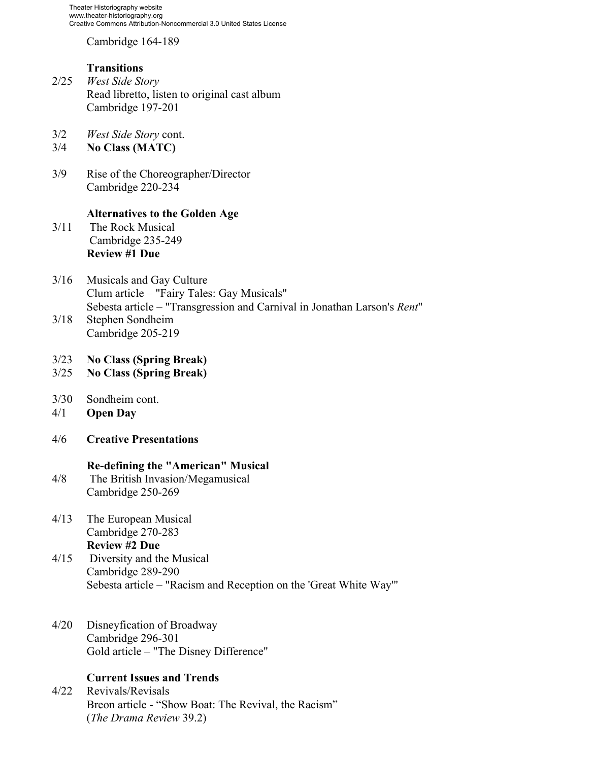Cambridge 164-189

#### **Transitions**

- 2/25 *West Side Story* Read libretto, listen to original cast album Cambridge 197-201
- 3/2 *West Side Story* cont.
- 3/4 **No Class (MATC)**
- 3/9 Rise of the Choreographer/Director Cambridge 220-234

#### **Alternatives to the Golden Age**

- 3/11 The Rock Musical Cambridge 235-249 **Review #1 Due**
- 3/16 Musicals and Gay Culture Clum article – "Fairy Tales: Gay Musicals" Sebesta article – "Transgression and Carnival in Jonathan Larson's *Rent*" 3/18 Stephen Sondheim
- Cambridge 205-219
- 3/23 **No Class (Spring Break)**
- 3/25 **No Class (Spring Break)**
- 3/30 Sondheim cont.
- 4/1 **Open Day**
- 4/6 **Creative Presentations**

#### **Re-defining the "American" Musical**

- 4/8 The British Invasion/Megamusical Cambridge 250-269
- 4/13 The European Musical Cambridge 270-283 **Review #2 Due**
- 4/15 Diversity and the Musical Cambridge 289-290 Sebesta article – "Racism and Reception on the 'Great White Way'"
- 4/20 Disneyfication of Broadway Cambridge 296-301 Gold article – "The Disney Difference"

### **Current Issues and Trends**

4/22 Revivals/Revisals Breon article - "Show Boat: The Revival, the Racism" (*The Drama Review* 39.2)